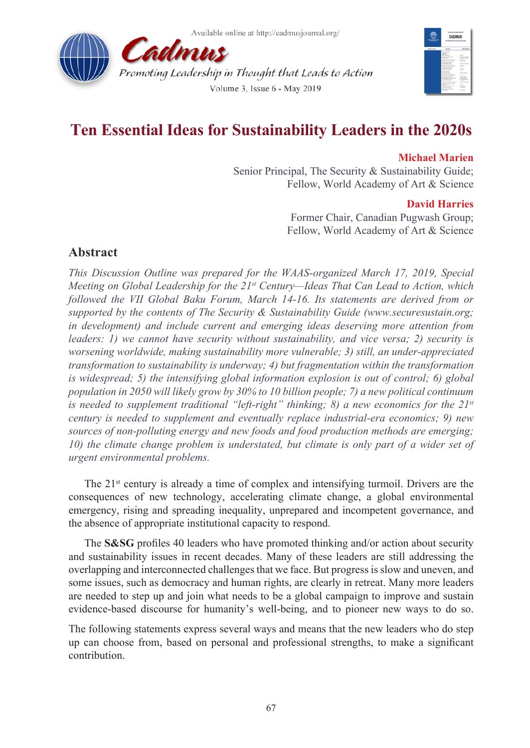



# **Ten Essential Ideas for Sustainability Leaders in the 2020s**

### **Michael Marien**

Senior Principal, The Security & Sustainability Guide; Fellow, World Academy of Art & Science

#### **David Harries**

Former Chair, Canadian Pugwash Group; Fellow, World Academy of Art & Science

## **Abstract**

*This Discussion Outline was prepared for the WAAS-organized March 17, 2019, Special Meeting on Global Leadership for the 21st Century—Ideas That Can Lead to Action, which followed the VII Global Baku Forum, March 14-16. Its statements are derived from or supported by the contents of The Security & Sustainability Guide (www.securesustain.org; in development) and include current and emerging ideas deserving more attention from leaders: 1) we cannot have security without sustainability, and vice versa; 2) security is worsening worldwide, making sustainability more vulnerable; 3) still, an under-appreciated transformation to sustainability is underway; 4) but fragmentation within the transformation is widespread; 5) the intensifying global information explosion is out of control; 6) global population in 2050 will likely grow by 30% to 10 billion people; 7) a new political continuum is needed to supplement traditional "left-right" thinking; 8) a new economics for the 21st century is needed to supplement and eventually replace industrial-era economics; 9) new sources of non-polluting energy and new foods and food production methods are emerging; 10) the climate change problem is understated, but climate is only part of a wider set of urgent environmental problems.*

The  $21<sup>st</sup>$  century is already a time of complex and intensifying turmoil. Drivers are the consequences of new technology, accelerating climate change, a global environmental emergency, rising and spreading inequality, unprepared and incompetent governance, and the absence of appropriate institutional capacity to respond.

The **S&SG** profiles 40 leaders who have promoted thinking and/or action about security and sustainability issues in recent decades. Many of these leaders are still addressing the overlapping and interconnected challenges that we face. But progress is slow and uneven, and some issues, such as democracy and human rights, are clearly in retreat. Many more leaders are needed to step up and join what needs to be a global campaign to improve and sustain evidence-based discourse for humanity's well-being, and to pioneer new ways to do so.

The following statements express several ways and means that the new leaders who do step up can choose from, based on personal and professional strengths, to make a significant contribution.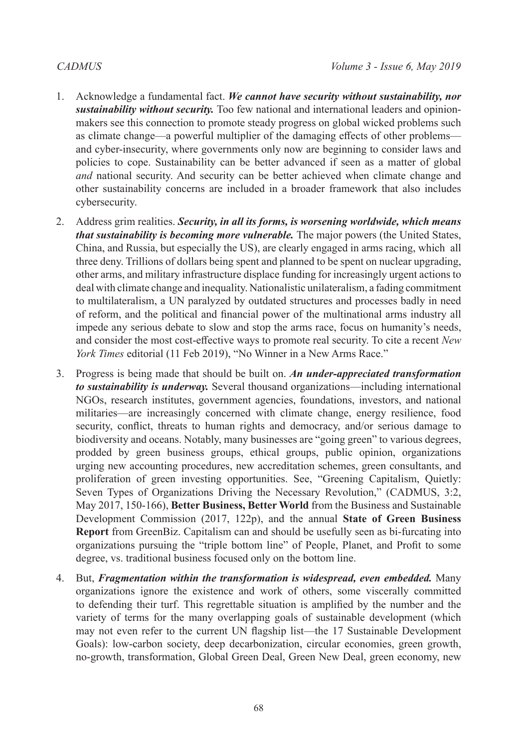- 1. Acknowledge a fundamental fact. *We cannot have security without sustainability, nor sustainability without security.* Too few national and international leaders and opinionmakers see this connection to promote steady progress on global wicked problems such as climate change—a powerful multiplier of the damaging effects of other problems and cyber-insecurity, where governments only now are beginning to consider laws and policies to cope. Sustainability can be better advanced if seen as a matter of global *and* national security. And security can be better achieved when climate change and other sustainability concerns are included in a broader framework that also includes cybersecurity.
- 2. Address grim realities. *Security, in all its forms, is worsening worldwide, which means that sustainability is becoming more vulnerable.* The major powers (the United States, China, and Russia, but especially the US), are clearly engaged in arms racing, which all three deny. Trillions of dollars being spent and planned to be spent on nuclear upgrading, other arms, and military infrastructure displace funding for increasingly urgent actions to deal with climate change and inequality. Nationalistic unilateralism, a fading commitment to multilateralism, a UN paralyzed by outdated structures and processes badly in need of reform, and the political and financial power of the multinational arms industry all impede any serious debate to slow and stop the arms race, focus on humanity's needs, and consider the most cost-effective ways to promote real security. To cite a recent *New York Times* editorial (11 Feb 2019), "No Winner in a New Arms Race."
- 3. Progress is being made that should be built on. *An under-appreciated transformation to sustainability is underway.* Several thousand organizations—including international NGOs, research institutes, government agencies, foundations, investors, and national militaries—are increasingly concerned with climate change, energy resilience, food security, conflict, threats to human rights and democracy, and/or serious damage to biodiversity and oceans. Notably, many businesses are "going green" to various degrees, prodded by green business groups, ethical groups, public opinion, organizations urging new accounting procedures, new accreditation schemes, green consultants, and proliferation of green investing opportunities. See, "Greening Capitalism, Quietly: Seven Types of Organizations Driving the Necessary Revolution," (CADMUS, 3:2, May 2017, 150-166), **Better Business, Better World** from the Business and Sustainable Development Commission (2017, 122p), and the annual **State of Green Business Report** from GreenBiz. Capitalism can and should be usefully seen as bi-furcating into organizations pursuing the "triple bottom line" of People, Planet, and Profit to some degree, vs. traditional business focused only on the bottom line.
- 4. But, *Fragmentation within the transformation is widespread, even embedded.* Many organizations ignore the existence and work of others, some viscerally committed to defending their turf. This regrettable situation is amplified by the number and the variety of terms for the many overlapping goals of sustainable development (which may not even refer to the current UN flagship list—the 17 Sustainable Development Goals): low-carbon society, deep decarbonization, circular economies, green growth, no-growth, transformation, Global Green Deal, Green New Deal, green economy, new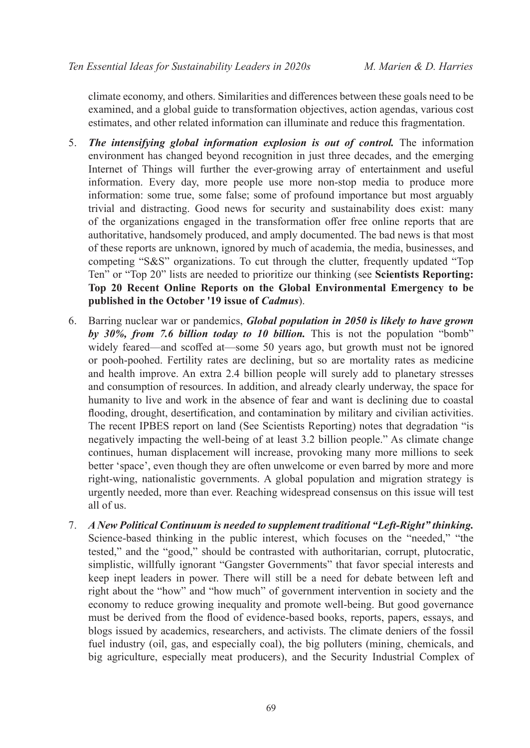climate economy, and others. Similarities and differences between these goals need to be examined, and a global guide to transformation objectives, action agendas, various cost estimates, and other related information can illuminate and reduce this fragmentation.

- 5. *The intensifying global information explosion is out of control.* The information environment has changed beyond recognition in just three decades, and the emerging Internet of Things will further the ever-growing array of entertainment and useful information. Every day, more people use more non-stop media to produce more information: some true, some false; some of profound importance but most arguably trivial and distracting. Good news for security and sustainability does exist: many of the organizations engaged in the transformation offer free online reports that are authoritative, handsomely produced, and amply documented. The bad news is that most of these reports are unknown, ignored by much of academia, the media, businesses, and competing "S&S" organizations. To cut through the clutter, frequently updated "Top Ten" or "Top 20" lists are needed to prioritize our thinking (see **Scientists Reporting: Top 20 Recent Online Reports on the Global Environmental Emergency to be published in the October '19 issue of** *Cadmus*).
- 6. Barring nuclear war or pandemics, *Global population in 2050 is likely to have grown by 30%, from 7.6 billion today to 10 billion.* This is not the population "bomb" widely feared—and scoffed at—some 50 years ago, but growth must not be ignored or pooh-poohed. Fertility rates are declining, but so are mortality rates as medicine and health improve. An extra 2.4 billion people will surely add to planetary stresses and consumption of resources. In addition, and already clearly underway, the space for humanity to live and work in the absence of fear and want is declining due to coastal flooding, drought, desertification, and contamination by military and civilian activities. The recent IPBES report on land (See Scientists Reporting) notes that degradation "is negatively impacting the well-being of at least 3.2 billion people." As climate change continues, human displacement will increase, provoking many more millions to seek better 'space', even though they are often unwelcome or even barred by more and more right-wing, nationalistic governments. A global population and migration strategy is urgently needed, more than ever. Reaching widespread consensus on this issue will test all of us.
- 7. *A New Political Continuum is needed to supplement traditional "Left-Right" thinking.*  Science-based thinking in the public interest, which focuses on the "needed," "the tested," and the "good," should be contrasted with authoritarian, corrupt, plutocratic, simplistic, willfully ignorant "Gangster Governments" that favor special interests and keep inept leaders in power. There will still be a need for debate between left and right about the "how" and "how much" of government intervention in society and the economy to reduce growing inequality and promote well-being. But good governance must be derived from the flood of evidence-based books, reports, papers, essays, and blogs issued by academics, researchers, and activists. The climate deniers of the fossil fuel industry (oil, gas, and especially coal), the big polluters (mining, chemicals, and big agriculture, especially meat producers), and the Security Industrial Complex of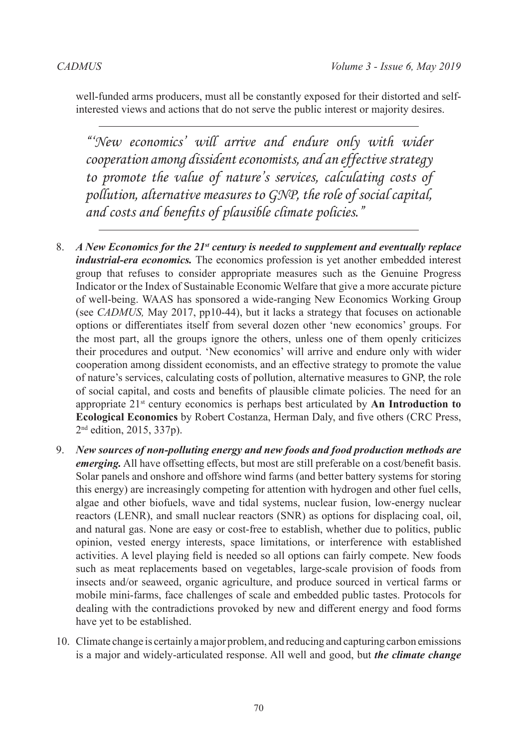well-funded arms producers, must all be constantly exposed for their distorted and selfinterested views and actions that do not serve the public interest or majority desires.

*"'New economics' will arrive and endure only with wider cooperation among dissident economists, and an effective strategy to promote the value of nature's services, calculating costs of pollution, alternative measures to GNP, the role of social capital, and costs and benefits of plausible climate policies."*

- 8. *A New Economics for the 21st century is needed to supplement and eventually replace industrial-era economics.* The economics profession is yet another embedded interest group that refuses to consider appropriate measures such as the Genuine Progress Indicator or the Index of Sustainable Economic Welfare that give a more accurate picture of well-being. WAAS has sponsored a wide-ranging New Economics Working Group (see *CADMUS,* May 2017, pp10-44), but it lacks a strategy that focuses on actionable options or differentiates itself from several dozen other 'new economics' groups. For the most part, all the groups ignore the others, unless one of them openly criticizes their procedures and output. 'New economics' will arrive and endure only with wider cooperation among dissident economists, and an effective strategy to promote the value of nature's services, calculating costs of pollution, alternative measures to GNP, the role of social capital, and costs and benefits of plausible climate policies. The need for an appropriate 21st century economics is perhaps best articulated by **An Introduction to Ecological Economics** by Robert Costanza, Herman Daly, and five others (CRC Press, 2nd edition, 2015, 337p).
- 9. *New sources of non-polluting energy and new foods and food production methods are emerging.* All have offsetting effects, but most are still preferable on a cost/benefit basis. Solar panels and onshore and offshore wind farms (and better battery systems for storing this energy) are increasingly competing for attention with hydrogen and other fuel cells, algae and other biofuels, wave and tidal systems, nuclear fusion, low-energy nuclear reactors (LENR), and small nuclear reactors (SNR) as options for displacing coal, oil, and natural gas. None are easy or cost-free to establish, whether due to politics, public opinion, vested energy interests, space limitations, or interference with established activities. A level playing field is needed so all options can fairly compete. New foods such as meat replacements based on vegetables, large-scale provision of foods from insects and/or seaweed, organic agriculture, and produce sourced in vertical farms or mobile mini-farms, face challenges of scale and embedded public tastes. Protocols for dealing with the contradictions provoked by new and different energy and food forms have yet to be established.
- 10. Climate change is certainly a major problem, and reducing and capturing carbon emissions is a major and widely-articulated response. All well and good, but *the climate change*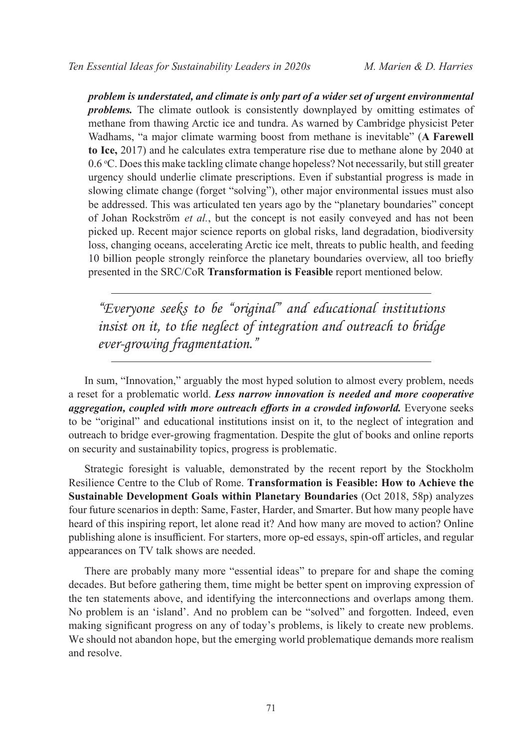*problem is understated, and climate is only part of a wider set of urgent environmental problems.* The climate outlook is consistently downplayed by omitting estimates of methane from thawing Arctic ice and tundra. As warned by Cambridge physicist Peter Wadhams, "a major climate warming boost from methane is inevitable" (**A Farewell to Ice,** 2017) and he calculates extra temperature rise due to methane alone by 2040 at 0.6 °C. Does this make tackling climate change hopeless? Not necessarily, but still greater urgency should underlie climate prescriptions. Even if substantial progress is made in slowing climate change (forget "solving"), other major environmental issues must also be addressed. This was articulated ten years ago by the "planetary boundaries" concept of Johan Rockström *et al.*, but the concept is not easily conveyed and has not been picked up. Recent major science reports on global risks, land degradation, biodiversity loss, changing oceans, accelerating Arctic ice melt, threats to public health, and feeding 10 billion people strongly reinforce the planetary boundaries overview, all too briefly presented in the SRC/CoR **Transformation is Feasible** report mentioned below.

*"Everyone seeks to be "original" and educational institutions insist on it, to the neglect of integration and outreach to bridge ever-growing fragmentation."*

In sum, "Innovation," arguably the most hyped solution to almost every problem, needs a reset for a problematic world. *Less narrow innovation is needed and more cooperative aggregation, coupled with more outreach efforts in a crowded infoworld.* Everyone seeks to be "original" and educational institutions insist on it, to the neglect of integration and outreach to bridge ever-growing fragmentation. Despite the glut of books and online reports on security and sustainability topics, progress is problematic.

Strategic foresight is valuable, demonstrated by the recent report by the Stockholm Resilience Centre to the Club of Rome. **Transformation is Feasible: How to Achieve the Sustainable Development Goals within Planetary Boundaries** (Oct 2018, 58p) analyzes four future scenarios in depth: Same, Faster, Harder, and Smarter. But how many people have heard of this inspiring report, let alone read it? And how many are moved to action? Online publishing alone is insufficient. For starters, more op-ed essays, spin-off articles, and regular appearances on TV talk shows are needed.

There are probably many more "essential ideas" to prepare for and shape the coming decades. But before gathering them, time might be better spent on improving expression of the ten statements above, and identifying the interconnections and overlaps among them. No problem is an 'island'. And no problem can be "solved" and forgotten. Indeed, even making significant progress on any of today's problems, is likely to create new problems. We should not abandon hope, but the emerging world problematique demands more realism and resolve.